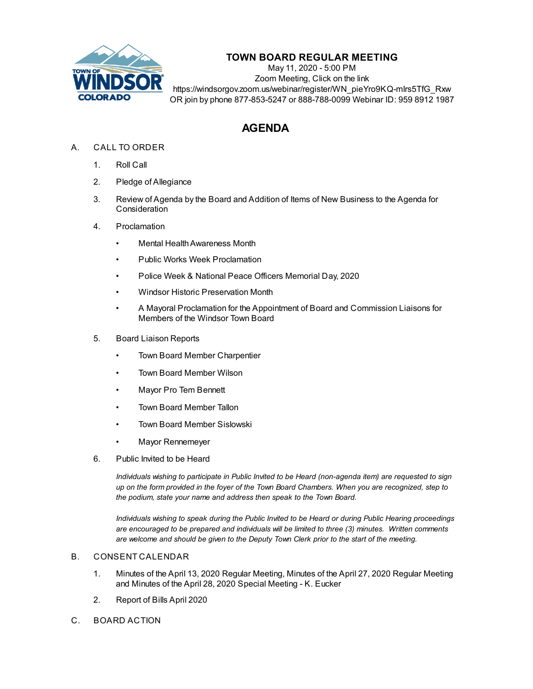

# **TOWN BOARD REGULAR MEETING**

May 11, 2020 - 5:00 PM Zoom Meeting, Click on the link https://windsorgov.zoom.us/webinar/register/WN\_pieYro9KQ-mIrs5TfG\_Rxw OR join by phone 877-853-5247 or 888-788-0099 Webinar ID: 959 8912 1987

# **AGENDA**

## A. CALL TO ORDER

- 1. Roll Call
- 2. Pledge of Allegiance
- 3. Review of Agenda by the Board and Addition of Items of New Business to the Agenda for **Consideration**
- 4. Proclamation
	- Mental Health Awareness Month
	- Public Works Week [Proclamation](file:///C:/Windows/TEMP/CoverSheet.aspx?ItemID=858&MeetingID=124)
	- Police Week & National Peace Officers [Memorial](file:///C:/Windows/TEMP/CoverSheet.aspx?ItemID=859&MeetingID=124) Day, 2020
	- Windsor Historic [Preservation](file:///C:/Windows/TEMP/CoverSheet.aspx?ItemID=868&MeetingID=124) Month
	- A Mayoral [Proclamation](file:///C:/Windows/TEMP/CoverSheet.aspx?ItemID=866&MeetingID=124) for the Appointment of Board and Commission Liaisons for Members of the Windsor Town Board
- 5. Board Liaison Reports
	- Town Board Member Charpentier
	- Town Board Member Wilson
	- Mayor Pro Tem Bennett
	- Town Board Member Tallon
	- Town Board Member Sislowski
	- Mayor Rennemeyer
- 6. Public Invited to be Heard

*Individuals wishing to participate in Public Invited to be Heard (non-agenda item) are requested to sign* up on the form provided in the foyer of the Town Board Chambers. When you are recognized, step to *the podium, state your name and address then speak to the Town Board.*

*Individuals wishing to speak during the Public Invited to be Heard or during Public Hearing proceedings are encouraged to be prepared and individuals will be limited to three (3) minutes. Written comments are welcome and should be given to the Deputy Town Clerk prior to the start of the meeting.*

#### B. CONSENT CALENDAR

- 1. Minutes of the April 13, 2020 Regular [Meeting,](file:///C:/Windows/TEMP/CoverSheet.aspx?ItemID=873&MeetingID=124) Minutes of the April 27, 2020 Regular Meeting and Minutes of the April 28, 2020 Special Meeting - K. Eucker
- 2. [Report](file:///C:/Windows/TEMP/CoverSheet.aspx?ItemID=864&MeetingID=124) of Bills April 2020
- C. BOARD ACTION